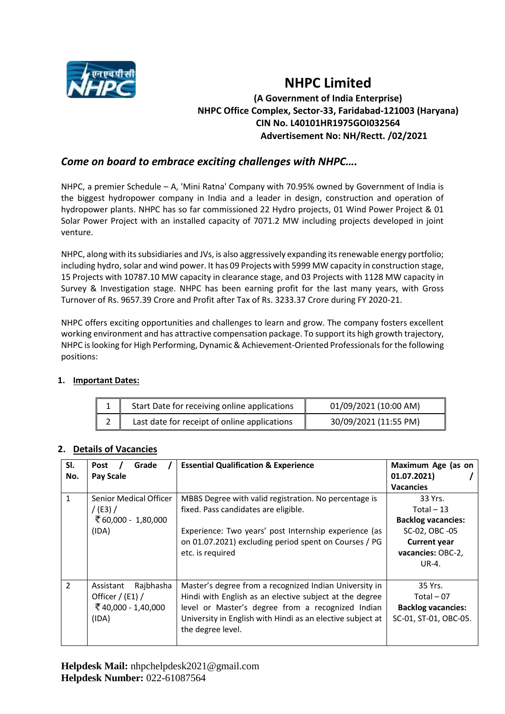

# **NHPC Limited (A Government of India Enterprise) NHPC Office Complex, Sector-33, Faridabad-121003 (Haryana) CIN No. L40101HR1975GOI032564 Advertisement No: NH/Rectt. /02/2021**

# *Come on board to embrace exciting challenges with NHPC….*

NHPC, a premier Schedule – A, 'Mini Ratna' Company with 70.95% owned by Government of India is the biggest hydropower company in India and a leader in design, construction and operation of hydropower plants. NHPC has so far commissioned 22 Hydro projects, 01 Wind Power Project & 01 Solar Power Project with an installed capacity of 7071.2 MW including projects developed in joint venture.

NHPC, along with its subsidiaries and JVs, is also aggressively expanding its renewable energy portfolio; including hydro, solar and wind power. It has 09 Projects with 5999 MW capacity in construction stage, 15 Projects with 10787.10 MW capacity in clearance stage, and 03 Projects with 1128 MW capacity in Survey & Investigation stage. NHPC has been earning profit for the last many years, with Gross Turnover of Rs. 9657.39 Crore and Profit after Tax of Rs. 3233.37 Crore during FY 2020-21.

NHPC offers exciting opportunities and challenges to learn and grow. The company fosters excellent working environment and has attractive compensation package. To support its high growth trajectory, NHPC is looking for High Performing, Dynamic & Achievement-Oriented Professionals for the following positions:

| Start Date for receiving online applications | 01/09/2021 (10:00 AM) |
|----------------------------------------------|-----------------------|
| Last date for receipt of online applications | 30/09/2021 (11:55 PM) |

### **1. Important Dates:**

|  |  |  | 2. Details of Vacancies |  |
|--|--|--|-------------------------|--|
|--|--|--|-------------------------|--|

| SI.<br>No.     | Grade<br>Post<br><b>Pay Scale</b>                                             | <b>Essential Qualification &amp; Experience</b>                                                                                                                                                                                                           | Maximum Age (as on<br>01.07.2021)<br><b>Vacancies</b>                                                                      |
|----------------|-------------------------------------------------------------------------------|-----------------------------------------------------------------------------------------------------------------------------------------------------------------------------------------------------------------------------------------------------------|----------------------------------------------------------------------------------------------------------------------------|
| $\mathbf{1}$   | Senior Medical Officer<br>$/$ (E3) $/$<br>₹ 60,000 - 1,80,000<br>(IDA)        | MBBS Degree with valid registration. No percentage is<br>fixed. Pass candidates are eligible.<br>Experience: Two years' post Internship experience (as<br>on 01.07.2021) excluding period spent on Courses / PG<br>etc. is required                       | 33 Yrs.<br>Total $-13$<br><b>Backlog vacancies:</b><br>SC-02, OBC -05<br><b>Current year</b><br>vacancies: OBC-2,<br>UR-4. |
| $\overline{2}$ | Rajbhasha<br>Assistant<br>Officer $/$ (E1) $/$<br>₹40,000 - 1,40,000<br>(IDA) | Master's degree from a recognized Indian University in<br>Hindi with English as an elective subject at the degree<br>level or Master's degree from a recognized Indian<br>University in English with Hindi as an elective subject at<br>the degree level. | 35 Yrs.<br>Total $-07$<br><b>Backlog vacancies:</b><br>SC-01, ST-01, OBC-05.                                               |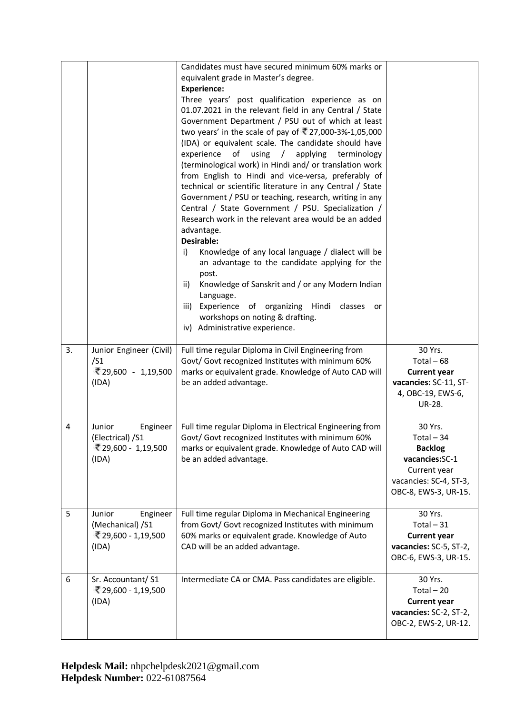|    |                                                                        | Candidates must have secured minimum 60% marks or<br>equivalent grade in Master's degree.<br><b>Experience:</b><br>Three years' post qualification experience as on<br>01.07.2021 in the relevant field in any Central / State<br>Government Department / PSU out of which at least<br>two years' in the scale of pay of ₹27,000-3%-1,05,000<br>(IDA) or equivalent scale. The candidate should have<br>experience<br>of<br>using<br>applying<br>terminology<br>$\sqrt{2}$<br>(terminological work) in Hindi and/ or translation work<br>from English to Hindi and vice-versa, preferably of<br>technical or scientific literature in any Central / State<br>Government / PSU or teaching, research, writing in any<br>Central / State Government / PSU. Specialization /<br>Research work in the relevant area would be an added<br>advantage.<br>Desirable:<br>Knowledge of any local language / dialect will be<br>i)<br>an advantage to the candidate applying for the<br>post.<br>Knowledge of Sanskrit and / or any Modern Indian<br>ii)<br>Language.<br>Experience of organizing<br>Hindi<br>classes<br>iii)<br>or<br>workshops on noting & drafting.<br>iv) Administrative experience. |                                                                                                                              |
|----|------------------------------------------------------------------------|------------------------------------------------------------------------------------------------------------------------------------------------------------------------------------------------------------------------------------------------------------------------------------------------------------------------------------------------------------------------------------------------------------------------------------------------------------------------------------------------------------------------------------------------------------------------------------------------------------------------------------------------------------------------------------------------------------------------------------------------------------------------------------------------------------------------------------------------------------------------------------------------------------------------------------------------------------------------------------------------------------------------------------------------------------------------------------------------------------------------------------------------------------------------------------------------|------------------------------------------------------------------------------------------------------------------------------|
| 3. | Junior Engineer (Civil)<br>/51<br>₹29,600 - 1,19,500<br>(IDA)          | Full time regular Diploma in Civil Engineering from<br>Govt/ Govt recognized Institutes with minimum 60%<br>marks or equivalent grade. Knowledge of Auto CAD will<br>be an added advantage.                                                                                                                                                                                                                                                                                                                                                                                                                                                                                                                                                                                                                                                                                                                                                                                                                                                                                                                                                                                                    | 30 Yrs.<br>Total $-68$<br><b>Current year</b><br>vacancies: SC-11, ST-<br>4, OBC-19, EWS-6,<br><b>UR-28.</b>                 |
| 4  | Junior<br>Engineer<br>(Electrical) /S1<br>₹ 29,600 - 1,19,500<br>(IDA) | Full time regular Diploma in Electrical Engineering from<br>Govt/ Govt recognized Institutes with minimum 60%<br>marks or equivalent grade. Knowledge of Auto CAD will<br>be an added advantage.                                                                                                                                                                                                                                                                                                                                                                                                                                                                                                                                                                                                                                                                                                                                                                                                                                                                                                                                                                                               | 30 Yrs.<br>Total $-34$<br><b>Backlog</b><br>vacancies:SC-1<br>Current year<br>vacancies: SC-4, ST-3,<br>OBC-8, EWS-3, UR-15. |
| 5  | Junior<br>Engineer<br>(Mechanical) /S1<br>₹ 29,600 - 1,19,500<br>(IDA) | Full time regular Diploma in Mechanical Engineering<br>from Govt/ Govt recognized Institutes with minimum<br>60% marks or equivalent grade. Knowledge of Auto<br>CAD will be an added advantage.                                                                                                                                                                                                                                                                                                                                                                                                                                                                                                                                                                                                                                                                                                                                                                                                                                                                                                                                                                                               | 30 Yrs.<br>Total $-31$<br><b>Current year</b><br>vacancies: SC-5, ST-2,<br>OBC-6, EWS-3, UR-15.                              |
| 6  | Sr. Accountant/S1<br>₹ 29,600 - 1,19,500<br>(IDA)                      | Intermediate CA or CMA. Pass candidates are eligible.                                                                                                                                                                                                                                                                                                                                                                                                                                                                                                                                                                                                                                                                                                                                                                                                                                                                                                                                                                                                                                                                                                                                          | 30 Yrs.<br>$Total - 20$<br><b>Current year</b><br>vacancies: SC-2, ST-2,<br>OBC-2, EWS-2, UR-12.                             |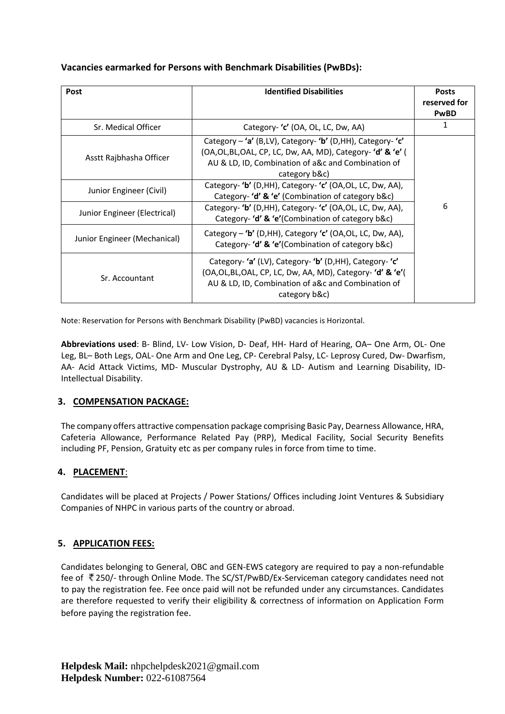**Vacancies earmarked for Persons with Benchmark Disabilities (PwBDs):**

| Post                                                                               | <b>Identified Disabilities</b>                                                                                                                                                                                                                                                                                                                                                                                                  | <b>Posts</b><br>reserved for<br><b>PwBD</b> |
|------------------------------------------------------------------------------------|---------------------------------------------------------------------------------------------------------------------------------------------------------------------------------------------------------------------------------------------------------------------------------------------------------------------------------------------------------------------------------------------------------------------------------|---------------------------------------------|
| Sr. Medical Officer                                                                | Category- 'c' (OA, OL, LC, Dw, AA)                                                                                                                                                                                                                                                                                                                                                                                              | 1                                           |
| Asstt Rajbhasha Officer<br>Junior Engineer (Civil)<br>Junior Engineer (Electrical) | Category - 'a' (B,LV), Category- 'b' (D,HH), Category- 'c'<br>(OA,OL,BL,OAL, CP, LC, Dw, AA, MD), Category- 'd' & 'e' (<br>AU & LD, ID, Combination of a&c and Combination of<br>category b&c)<br>Category- 'b' (D,HH), Category- 'c' (OA,OL, LC, Dw, AA),<br>Category- 'd' & 'e' (Combination of category b&c)<br>Category- 'b' (D,HH), Category- 'c' (OA,OL, LC, Dw, AA),<br>Category- 'd' & 'e'(Combination of category b&c) | 6                                           |
| Junior Engineer (Mechanical)                                                       | Category – 'b' (D,HH), Category 'c' (OA,OL, LC, Dw, AA),<br>Category- 'd' & 'e'(Combination of category b&c)                                                                                                                                                                                                                                                                                                                    |                                             |
| Sr. Accountant                                                                     | Category-'a' (LV), Category-'b' (D,HH), Category-'c'<br>(OA, OL, BL, OAL, CP, LC, Dw, AA, MD), Category-'d' & 'e'(<br>AU & LD, ID, Combination of a&c and Combination of<br>category b&c)                                                                                                                                                                                                                                       |                                             |

Note: Reservation for Persons with Benchmark Disability (PwBD) vacancies is Horizontal.

**Abbreviations used**: B- Blind, LV- Low Vision, D- Deaf, HH- Hard of Hearing, OA– One Arm, OL- One Leg, BL– Both Legs, OAL- One Arm and One Leg, CP- Cerebral Palsy, LC- Leprosy Cured, Dw- Dwarfism, AA- Acid Attack Victims, MD- Muscular Dystrophy, AU & LD- Autism and Learning Disability, ID-Intellectual Disability.

## **3. COMPENSATION PACKAGE:**

The company offers attractive compensation package comprising Basic Pay, Dearness Allowance, HRA, Cafeteria Allowance, Performance Related Pay (PRP), Medical Facility, Social Security Benefits including PF, Pension, Gratuity etc as per company rules in force from time to time.

# **4. PLACEMENT**:

Candidates will be placed at Projects / Power Stations/ Offices including Joint Ventures & Subsidiary Companies of NHPC in various parts of the country or abroad.

# **5. APPLICATION FEES:**

Candidates belonging to General, OBC and GEN-EWS category are required to pay a non-refundable fee of [2](http://photos.merinews.com/upload/imageGallery/bigImage/1279184501275-indian ru)50/- through Online Mode. The SC/ST/PwBD/Ex-Serviceman category candidates need not to pay the registration fee. Fee once paid will not be refunded under any circumstances. Candidates are therefore requested to verify their eligibility & correctness of information on Application Form before paying the registration fee.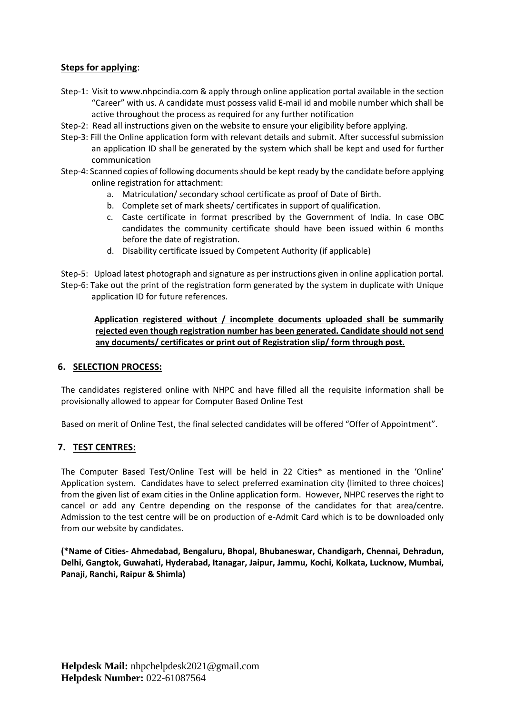## **Steps for applying**:

- Step-1: Visit t[o www.nhpcindia.com](http://www.nhpcindia.com/) & apply through online application portal available in the section "Career" with us. A candidate must possess valid E-mail id and mobile number which shall be active throughout the process as required for any further notification
- Step-2: Read all instructions given on the website to ensure your eligibility before applying.
- Step-3: Fill the Online application form with relevant details and submit. After successful submission an application ID shall be generated by the system which shall be kept and used for further communication
- Step-4: Scanned copies of following documents should be kept ready by the candidate before applying online registration for attachment:
	- a. Matriculation/ secondary school certificate as proof of Date of Birth.
	- b. Complete set of mark sheets/ certificates in support of qualification.
	- c. Caste certificate in format prescribed by the Government of India. In case OBC candidates the community certificate should have been issued within 6 months before the date of registration.
	- d. Disability certificate issued by Competent Authority (if applicable)

Step-5: Upload latest photograph and signature as per instructions given in online application portal. Step-6: Take out the print of the registration form generated by the system in duplicate with Unique application ID for future references.

 **Application registered without / incomplete documents uploaded shall be summarily rejected even though registration number has been generated. Candidate should not send any documents/ certificates or print out of Registration slip/ form through post.**

#### **6. SELECTION PROCESS:**

The candidates registered online with NHPC and have filled all the requisite information shall be provisionally allowed to appear for Computer Based Online Test

Based on merit of Online Test, the final selected candidates will be offered "Offer of Appointment".

### **7. TEST CENTRES:**

The Computer Based Test/Online Test will be held in 22 Cities\* as mentioned in the 'Online' Application system. Candidates have to select preferred examination city (limited to three choices) from the given list of exam cities in the Online application form. However, NHPC reserves the right to cancel or add any Centre depending on the response of the candidates for that area/centre. Admission to the test centre will be on production of e-Admit Card which is to be downloaded only from our website by candidates.

**(\*Name of Cities- Ahmedabad, Bengaluru, Bhopal, Bhubaneswar, Chandigarh, Chennai, Dehradun, Delhi, Gangtok, Guwahati, Hyderabad, Itanagar, Jaipur, Jammu, Kochi, Kolkata, Lucknow, Mumbai, Panaji, Ranchi, Raipur & Shimla)**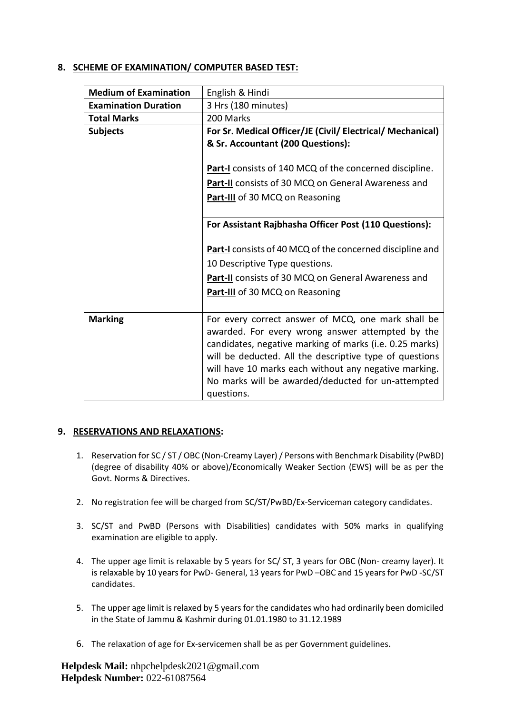## **8. SCHEME OF EXAMINATION/ COMPUTER BASED TEST:**

| <b>Medium of Examination</b> | English & Hindi                                                  |
|------------------------------|------------------------------------------------------------------|
| <b>Examination Duration</b>  | 3 Hrs (180 minutes)                                              |
| <b>Total Marks</b>           | 200 Marks                                                        |
| <b>Subjects</b>              | For Sr. Medical Officer/JE (Civil/ Electrical/ Mechanical)       |
|                              | & Sr. Accountant (200 Questions):                                |
|                              |                                                                  |
|                              | <b>Part-I</b> consists of 140 MCQ of the concerned discipline.   |
|                              | Part-II consists of 30 MCQ on General Awareness and              |
|                              | Part-III of 30 MCQ on Reasoning                                  |
|                              |                                                                  |
|                              | For Assistant Rajbhasha Officer Post (110 Questions):            |
|                              |                                                                  |
|                              | <b>Part-I</b> consists of 40 MCQ of the concerned discipline and |
|                              | 10 Descriptive Type questions.                                   |
|                              | <b>Part-II</b> consists of 30 MCQ on General Awareness and       |
|                              | <b>Part-III</b> of 30 MCQ on Reasoning                           |
|                              |                                                                  |
| <b>Marking</b>               | For every correct answer of MCQ, one mark shall be               |
|                              | awarded. For every wrong answer attempted by the                 |
|                              | candidates, negative marking of marks (i.e. 0.25 marks)          |
|                              | will be deducted. All the descriptive type of questions          |
|                              | will have 10 marks each without any negative marking.            |
|                              | No marks will be awarded/deducted for un-attempted               |
|                              | questions.                                                       |

### **9. RESERVATIONS AND RELAXATIONS:**

- 1. Reservation for SC / ST / OBC (Non-Creamy Layer) / Persons with Benchmark Disability (PwBD) (degree of disability 40% or above)/Economically Weaker Section (EWS) will be as per the Govt. Norms & Directives.
- 2. No registration fee will be charged from SC/ST/PwBD/Ex-Serviceman category candidates.
- 3. SC/ST and PwBD (Persons with Disabilities) candidates with 50% marks in qualifying examination are eligible to apply.
- 4. The upper age limit is relaxable by 5 years for SC/ ST, 3 years for OBC (Non- creamy layer). It is relaxable by 10 years for PwD- General, 13 years for PwD –OBC and 15 years for PwD -SC/ST candidates.
- 5. The upper age limit is relaxed by 5 years for the candidates who had ordinarily been domiciled in the State of Jammu & Kashmir during 01.01.1980 to 31.12.1989
- 6. The relaxation of age for Ex-servicemen shall be as per Government guidelines.

**Helpdesk Mail:** nhpchelpdesk2021@gmail.com **Helpdesk Number:** [022-61087564](callto:022-61087564)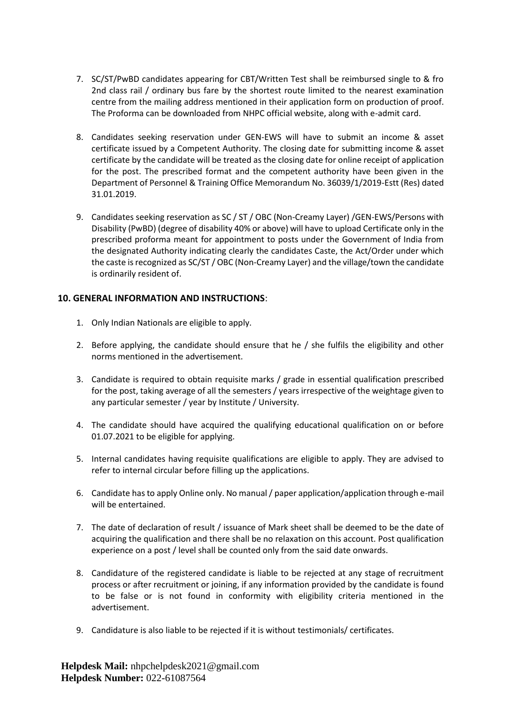- 7. SC/ST/PwBD candidates appearing for CBT/Written Test shall be reimbursed single to & fro 2nd class rail / ordinary bus fare by the shortest route limited to the nearest examination centre from the mailing address mentioned in their application form on production of proof. The Proforma can be downloaded from NHPC official website, along with e-admit card.
- 8. Candidates seeking reservation under GEN-EWS will have to submit an income & asset certificate issued by a Competent Authority. The closing date for submitting income & asset certificate by the candidate will be treated as the closing date for online receipt of application for the post. The prescribed format and the competent authority have been given in the Department of Personnel & Training Office Memorandum No. 36039/1/2019-Estt (Res) dated 31.01.2019.
- 9. Candidates seeking reservation as SC / ST / OBC (Non-Creamy Layer) /GEN-EWS/Persons with Disability (PwBD) (degree of disability 40% or above) will have to upload Certificate only in the prescribed proforma meant for appointment to posts under the Government of India from the designated Authority indicating clearly the candidates Caste, the Act/Order under which the caste is recognized as SC/ST / OBC (Non-Creamy Layer) and the village/town the candidate is ordinarily resident of.

## **10. GENERAL INFORMATION AND INSTRUCTIONS**:

- 1. Only Indian Nationals are eligible to apply.
- 2. Before applying, the candidate should ensure that he / she fulfils the eligibility and other norms mentioned in the advertisement.
- 3. Candidate is required to obtain requisite marks / grade in essential qualification prescribed for the post, taking average of all the semesters / years irrespective of the weightage given to any particular semester / year by Institute / University.
- 4. The candidate should have acquired the qualifying educational qualification on or before 01.07.2021 to be eligible for applying.
- 5. Internal candidates having requisite qualifications are eligible to apply. They are advised to refer to internal circular before filling up the applications.
- 6. Candidate has to apply Online only. No manual / paper application/application through e-mail will be entertained.
- 7. The date of declaration of result / issuance of Mark sheet shall be deemed to be the date of acquiring the qualification and there shall be no relaxation on this account. Post qualification experience on a post / level shall be counted only from the said date onwards.
- 8. Candidature of the registered candidate is liable to be rejected at any stage of recruitment process or after recruitment or joining, if any information provided by the candidate is found to be false or is not found in conformity with eligibility criteria mentioned in the advertisement.
- 9. Candidature is also liable to be rejected if it is without testimonials/ certificates.

**Helpdesk Mail:** nhpchelpdesk2021@gmail.com **Helpdesk Number:** [022-61087564](callto:022-61087564)